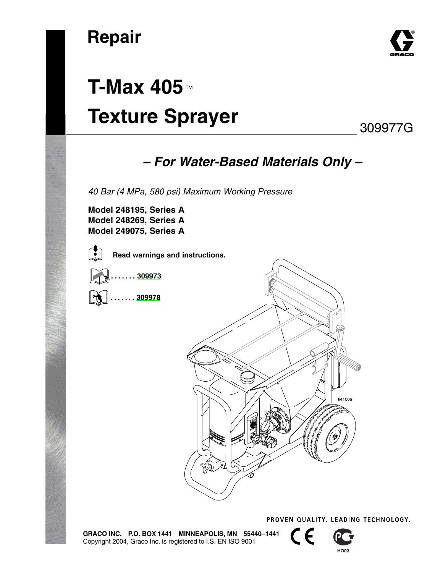

# **T-Max 405**-**Texture Sprayer**

### 309977G

### *– For Water-Based Materials Only –*

*40 Bar (4 MPa, 580 psi) Maximum Working Pressure*

**Model 248195, Series A Model 248269, Series A Model 249075, Series A**



**Read warnings and instructions.**







PROVEN QUALITY, LEADING TECHNOLOGY.

**GRACO INC. P.O. BOX 1441 MINNEAPOLIS, MN 55440–1441** Copyright 2004, Graco Inc. is registered to I.S. EN ISO 9001

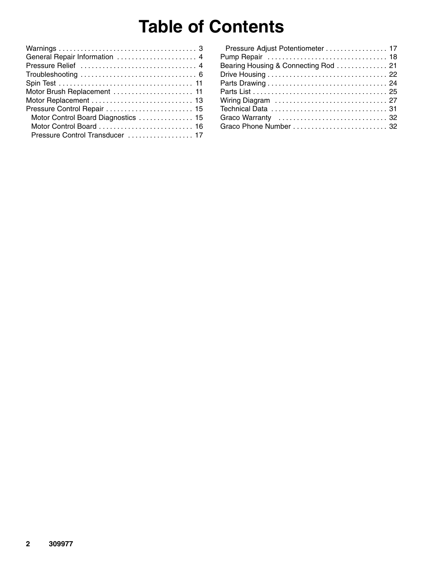## **Table of Contents**

| Pressure Adjust Potentiometer 17     |  |
|--------------------------------------|--|
|                                      |  |
| Bearing Housing & Connecting Rod  21 |  |
|                                      |  |
|                                      |  |
|                                      |  |
|                                      |  |
|                                      |  |
|                                      |  |
|                                      |  |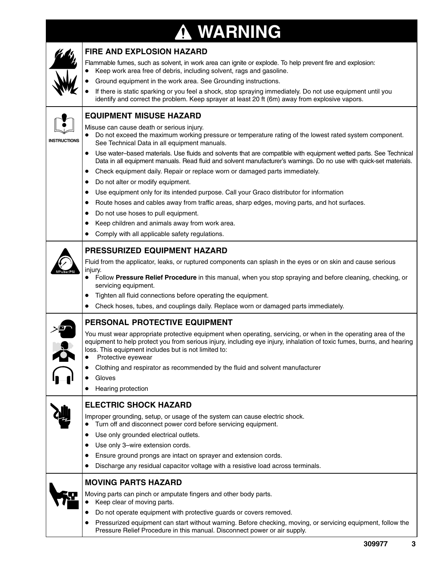#### **WARNING** T



**INSTRUCTIONS**

#### **FIRE AND EXPLOSION HAZARD**

Flammable fumes, such as solvent, in work area can ignite or explode. To help prevent fire and explosion: Keep work area free of debris, including solvent, rags and gasoline.

Ground equipment in the work area. See Grounding instructions.

 If there is static sparking or you feel a shock, stop spraying immediately. Do not use equipment until you identify and correct the problem. Keep sprayer at least 20 ft (6m) away from explosive vapors.

#### **EQUIPMENT MISUSE HAZARD**

Misuse can cause death or serious injury.

- Do not exceed the maximum working pressure or temperature rating of the lowest rated system component. See Technical Data in all equipment manuals.
- Use water–based materials. Use fluids and solvents that are compatible with equipment wetted parts. See Technical Data in all equipment manuals. Read fluid and solvent manufacturer's warnings. Do no use with quick-set materials.
- Check equipment daily. Repair or replace worn or damaged parts immediately.
- Do not alter or modify equipment.
- Use equipment only for its intended purpose. Call your Graco distributor for information
- Route hoses and cables away from traffic areas, sharp edges, moving parts, and hot surfaces.
- Do not use hoses to pull equipment.
- Keep children and animals away from work area.
- Comply with all applicable safety regulations.

#### **PRESSURIZED EQUIPMENT HAZARD**

Fluid from the applicator, leaks, or ruptured components can splash in the eyes or on skin and cause serious injury.

- Follow **Pressure Relief Procedure** in this manual, when you stop spraying and before cleaning, checking, or servicing equipment.
- Tighten all fluid connections before operating the equipment.
- Check hoses, tubes, and couplings daily. Replace worn or damaged parts immediately.

#### **PERSONAL PROTECTIVE EQUIPMENT**

You must wear appropriate protective equipment when operating, servicing, or when in the operating area of the equipment to help protect you from serious injury, including eye injury, inhalation of toxic fumes, burns, and hearing loss. This equipment includes but is not limited to:

- Protective eyewear
- Clothing and respirator as recommended by the fluid and solvent manufacturer
- Gloves
- Hearing protection

#### **ELECTRIC SHOCK HAZARD**

Improper grounding, setup, or usage of the system can cause electric shock.

- Turn off and disconnect power cord before servicing equipment.
- Use only grounded electrical outlets.
- Use only 3–wire extension cords.
- Ensure ground prongs are intact on sprayer and extension cords.
- Discharge any residual capacitor voltage with a resistive load across terminals.



#### **MOVING PARTS HAZARD**

Moving parts can pinch or amputate fingers and other body parts.

- Keep clear of moving parts.
- Do not operate equipment with protective guards or covers removed.
- Pressurized equipment can start without warning. Before checking, moving, or servicing equipment, follow the Pressure Relief Procedure in this manual. Disconnect power or air supply.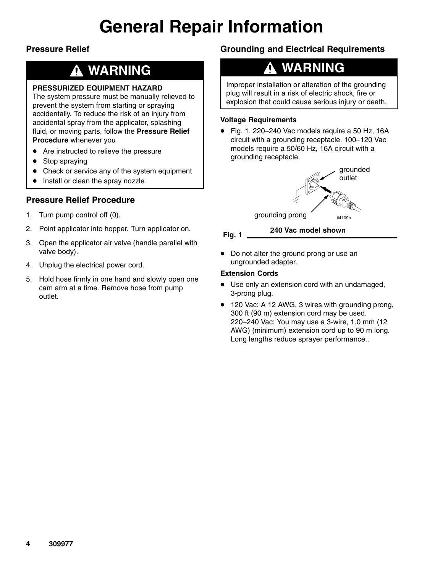## **General Repair Information**

#### **Pressure Relief**

### **WARNING**

#### **PRESSURIZED EQUIPMENT HAZARD**

The system pressure must be manually relieved to prevent the system from starting or spraying accidentally. To reduce the risk of an injury from accidental spray from the applicator, splashing fluid, or moving parts, follow the **Pressure Relief Procedure** whenever you

- Are instructed to relieve the pressure
- Stop spraying
- Check or service any of the system equipment
- Install or clean the spray nozzle

#### **Pressure Relief Procedure**

- 1. Turn pump control off (0).
- 2. Point applicator into hopper. Turn applicator on.
- 3. Open the applicator air valve (handle parallel with valve body).
- 4. Unplug the electrical power cord.
- 5. Hold hose firmly in one hand and slowly open one cam arm at a time. Remove hose from pump outlet.

#### **Grounding and Electrical Requirements**

### **WARNING**

Improper installation or alteration of the grounding plug will result in a risk of electric shock, fire or explosion that could cause serious injury or death.

#### **Voltage Requirements**

 Fig. 1. 220–240 Vac models require a 50 Hz, 16A circuit with a grounding receptacle. 100–120 Vac models require a 50/60 Hz, 16A circuit with a grounding receptacle.





• Do not alter the ground prong or use an ungrounded adapter.

#### **Extension Cords**

- Use only an extension cord with an undamaged, 3-prong plug.
- 120 Vac: A 12 AWG, 3 wires with grounding prong, 300 ft (90 m) extension cord may be used. 220–240 Vac: You may use a 3-wire, 1.0 mm (12 AWG) (minimum) extension cord up to 90 m long. Long lengths reduce sprayer performance..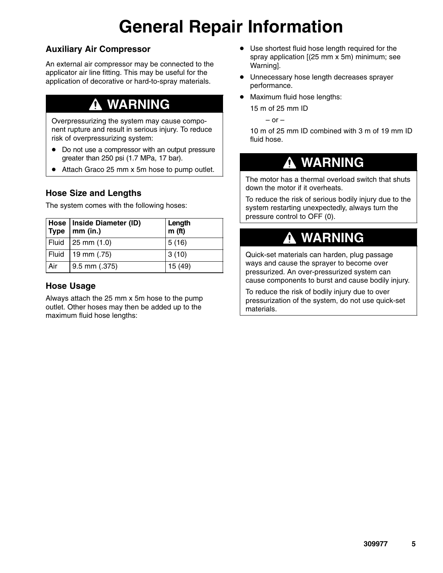# **General Repair Information**

#### **Auxiliary Air Compressor**

An external air compressor may be connected to the applicator air line fitting. This may be useful for the application of decorative or hard-to-spray materials.

### **WARNING**

Overpressurizing the system may cause component rupture and result in serious injury. To reduce risk of overpressurizing system:

- Do not use a compressor with an output pressure greater than 250 psi (1.7 MPa, 17 bar).
- Attach Graco 25 mm x 5m hose to pump outlet.

#### **Hose Size and Lengths**

The system comes with the following hoses:

| Type  | Hose   Inside Diameter (ID)<br>$mm$ (in.) | Length<br>m(f <sub>t</sub> ) |
|-------|-------------------------------------------|------------------------------|
|       | Fluid 25 mm $(1.0)$                       | 5(16)                        |
| Fluid | 19 mm $(.75)$                             | 3(10)                        |
| Air   | $9.5$ mm $(.375)$                         | 15(49)                       |

#### **Hose Usage**

Always attach the 25 mm x 5m hose to the pump outlet. Other hoses may then be added up to the maximum fluid hose lengths:

- Use shortest fluid hose length required for the spray application [(25 mm x 5m) minimum; see Warning].
- Unnecessary hose length decreases sprayer performance.
- Maximum fluid hose lengths:

15 m of 25 mm ID

 $-$  or  $-$ 

10 m of 25 mm ID combined with 3 m of 19 mm ID fluid hose.

### **WARNING**

The motor has a thermal overload switch that shuts down the motor if it overheats.

To reduce the risk of serious bodily injury due to the system restarting unexpectedly, always turn the pressure control to OFF (0).

### **WARNING**

Quick-set materials can harden, plug passage ways and cause the sprayer to become over pressurized. An over-pressurized system can cause components to burst and cause bodily injury.

To reduce the risk of bodily injury due to over pressurization of the system, do not use quick-set materials.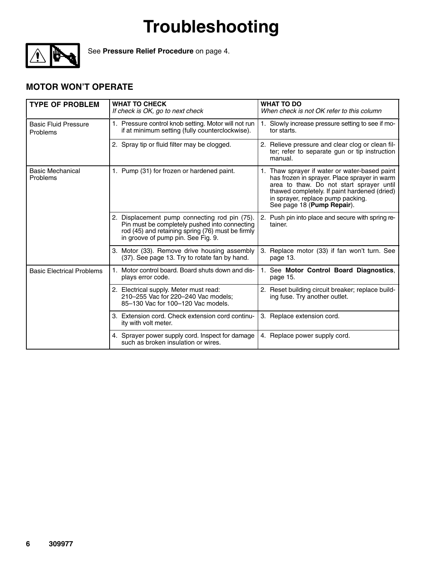

See **Pressure Relief Procedure** on page 4.

#### **MOTOR WON'T OPERATE**

| <b>TYPE OF PROBLEM</b>                  | <b>WHAT TO CHECK</b><br>If check is OK, go to next check                                                                                                                                  | <b>WHAT TO DO</b><br>When check is not OK refer to this column                                                                                                                                                                                               |
|-----------------------------------------|-------------------------------------------------------------------------------------------------------------------------------------------------------------------------------------------|--------------------------------------------------------------------------------------------------------------------------------------------------------------------------------------------------------------------------------------------------------------|
| <b>Basic Fluid Pressure</b><br>Problems | 1. Pressure control knob setting. Motor will not run<br>if at minimum setting (fully counterclockwise).                                                                                   | 1. Slowly increase pressure setting to see if mo-<br>tor starts.                                                                                                                                                                                             |
|                                         | 2. Spray tip or fluid filter may be clogged.                                                                                                                                              | 2. Relieve pressure and clear clog or clean fil-<br>ter; refer to separate gun or tip instruction<br>manual.                                                                                                                                                 |
| <b>Basic Mechanical</b><br>Problems     | 1. Pump (31) for frozen or hardened paint.                                                                                                                                                | 1. Thaw sprayer if water or water-based paint<br>has frozen in sprayer. Place sprayer in warm<br>area to thaw. Do not start sprayer until<br>thawed completely. If paint hardened (dried)<br>in sprayer, replace pump packing.<br>See page 18 (Pump Repair). |
|                                         | 2. Displacement pump connecting rod pin (75).<br>Pin must be completely pushed into connecting<br>rod (45) and retaining spring (76) must be firmly<br>in groove of pump pin. See Fig. 9. | 2. Push pin into place and secure with spring re-<br>tainer.                                                                                                                                                                                                 |
|                                         | 3. Motor (33). Remove drive housing assembly<br>(37). See page 13. Try to rotate fan by hand.                                                                                             | 3. Replace motor (33) if fan won't turn. See<br>page 13.                                                                                                                                                                                                     |
| <b>Basic Electrical Problems</b>        | 1. Motor control board. Board shuts down and dis-<br>plays error code.                                                                                                                    | 1. See Motor Control Board Diagnostics,<br>page 15.                                                                                                                                                                                                          |
|                                         | 2. Electrical supply. Meter must read:<br>210-255 Vac for 220-240 Vac models;<br>85-130 Vac for 100-120 Vac models.                                                                       | 2. Reset building circuit breaker; replace build-<br>ing fuse. Try another outlet.                                                                                                                                                                           |
|                                         | 3. Extension cord. Check extension cord continu-<br>ity with volt meter.                                                                                                                  | 3. Replace extension cord.                                                                                                                                                                                                                                   |
|                                         | 4. Sprayer power supply cord. Inspect for damage<br>such as broken insulation or wires.                                                                                                   | 4. Replace power supply cord.                                                                                                                                                                                                                                |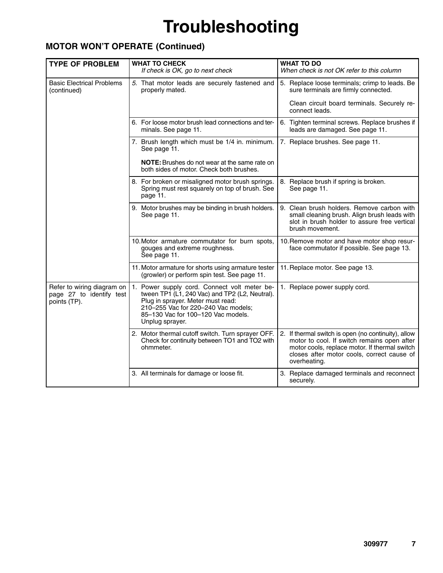#### **MOTOR WON'T OPERATE (Continued)**

| <b>TYPE OF PROBLEM</b>                                                 | <b>WHAT TO CHECK</b><br>If check is OK, go to next check                                                                                                                                                                            | <b>WHAT TO DO</b><br>When check is not OK refer to this column                                                                                                                                                    |
|------------------------------------------------------------------------|-------------------------------------------------------------------------------------------------------------------------------------------------------------------------------------------------------------------------------------|-------------------------------------------------------------------------------------------------------------------------------------------------------------------------------------------------------------------|
| <b>Basic Electrical Problems</b><br>(continued)                        | 5. That motor leads are securely fastened and<br>properly mated.                                                                                                                                                                    | 5. Replace loose terminals; crimp to leads. Be<br>sure terminals are firmly connected.<br>Clean circuit board terminals. Securely re-                                                                             |
|                                                                        |                                                                                                                                                                                                                                     | connect leads.                                                                                                                                                                                                    |
|                                                                        | 6. For loose motor brush lead connections and ter-<br>minals. See page 11.                                                                                                                                                          | 6. Tighten terminal screws. Replace brushes if<br>leads are damaged. See page 11.                                                                                                                                 |
|                                                                        | 7. Brush length which must be 1/4 in. minimum.<br>See page 11.                                                                                                                                                                      | 7. Replace brushes. See page 11.                                                                                                                                                                                  |
|                                                                        | <b>NOTE:</b> Brushes do not wear at the same rate on<br>both sides of motor. Check both brushes.                                                                                                                                    |                                                                                                                                                                                                                   |
|                                                                        | 8. For broken or misaligned motor brush springs.<br>Spring must rest squarely on top of brush. See<br>page 11.                                                                                                                      | 8. Replace brush if spring is broken.<br>See page 11.                                                                                                                                                             |
|                                                                        | 9. Motor brushes may be binding in brush holders.<br>See page 11.                                                                                                                                                                   | 9. Clean brush holders. Remove carbon with<br>small cleaning brush. Align brush leads with<br>slot in brush holder to assure free vertical<br>brush movement.                                                     |
|                                                                        | 10. Motor armature commutator for burn spots,<br>gouges and extreme roughness.<br>See page 11.                                                                                                                                      | 10. Remove motor and have motor shop resur-<br>face commutator if possible. See page 13.                                                                                                                          |
|                                                                        | 11. Motor armature for shorts using armature tester<br>(growler) or perform spin test. See page 11.                                                                                                                                 | 11. Replace motor. See page 13.                                                                                                                                                                                   |
| Refer to wiring diagram on<br>page 27 to identify test<br>points (TP). | 1. Power supply cord. Connect volt meter be-<br>tween TP1 (L1, 240 Vac) and TP2 (L2, Neutral).<br>Plug in sprayer. Meter must read:<br>210-255 Vac for 220-240 Vac models;<br>85-130 Vac for 100-120 Vac models.<br>Unplug sprayer. | 1. Replace power supply cord.                                                                                                                                                                                     |
|                                                                        | 2. Motor thermal cutoff switch. Turn sprayer OFF.<br>Check for continuity between TO1 and TO2 with<br>ohmmeter.                                                                                                                     | 2. If thermal switch is open (no continuity), allow<br>motor to cool. If switch remains open after<br>motor cools, replace motor. If thermal switch<br>closes after motor cools, correct cause of<br>overheating. |
|                                                                        | 3. All terminals for damage or loose fit.                                                                                                                                                                                           | 3. Replace damaged terminals and reconnect<br>securely.                                                                                                                                                           |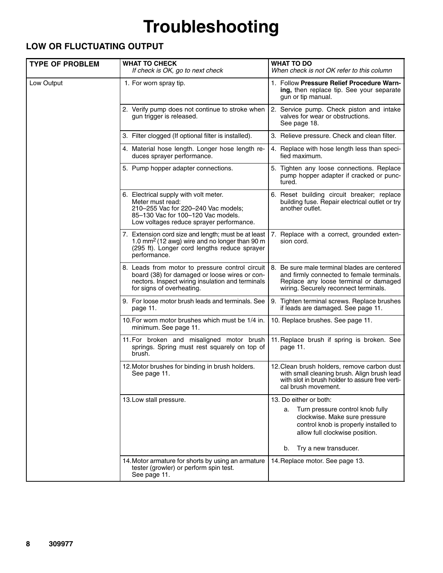#### **LOW OR FLUCTUATING OUTPUT**

| <b>TYPE OF PROBLEM</b> | <b>WHAT TO CHECK</b><br>If check is OK, go to next check                                                                                                                           | <b>WHAT TO DO</b><br>When check is not OK refer to this column                                                                                                                                              |
|------------------------|------------------------------------------------------------------------------------------------------------------------------------------------------------------------------------|-------------------------------------------------------------------------------------------------------------------------------------------------------------------------------------------------------------|
| Low Output             | 1. For worn spray tip.                                                                                                                                                             | 1. Follow Pressure Relief Procedure Warn-<br>ing, then replace tip. See your separate<br>gun or tip manual.                                                                                                 |
|                        | 2. Verify pump does not continue to stroke when<br>gun trigger is released.                                                                                                        | 2. Service pump. Check piston and intake<br>valves for wear or obstructions.<br>See page 18.                                                                                                                |
|                        | 3. Filter clogged (If optional filter is installed).                                                                                                                               | 3. Relieve pressure. Check and clean filter.                                                                                                                                                                |
|                        | 4. Material hose length. Longer hose length re-<br>duces sprayer performance.                                                                                                      | 4. Replace with hose length less than speci-<br>fied maximum.                                                                                                                                               |
|                        | 5. Pump hopper adapter connections.                                                                                                                                                | 5. Tighten any loose connections. Replace<br>pump hopper adapter if cracked or punc-<br>tured.                                                                                                              |
|                        | 6. Electrical supply with volt meter.<br>Meter must read:<br>210-255 Vac for 220-240 Vac models;<br>85-130 Vac for 100-120 Vac models.<br>Low voltages reduce sprayer performance. | 6. Reset building circuit breaker; replace<br>building fuse. Repair electrical outlet or try<br>another outlet.                                                                                             |
|                        | 7. Extension cord size and length; must be at least<br>1.0 mm <sup>2</sup> (12 awg) wire and no longer than 90 m<br>(295 ft). Longer cord lengths reduce sprayer<br>performance.   | 7. Replace with a correct, grounded exten-<br>sion cord.                                                                                                                                                    |
|                        | 8. Leads from motor to pressure control circuit<br>board (38) for damaged or loose wires or con-<br>nectors. Inspect wiring insulation and terminals<br>for signs of overheating.  | 8. Be sure male terminal blades are centered<br>and firmly connected to female terminals.<br>Replace any loose terminal or damaged<br>wiring. Securely reconnect terminals.                                 |
|                        | 9. For loose motor brush leads and terminals. See<br>page 11.                                                                                                                      | 9. Tighten terminal screws. Replace brushes<br>if leads are damaged. See page 11.                                                                                                                           |
|                        | 10. For worn motor brushes which must be 1/4 in.<br>minimum. See page 11.                                                                                                          | 10. Replace brushes. See page 11.                                                                                                                                                                           |
|                        | 11. For broken and misaligned motor brush<br>springs. Spring must rest squarely on top of<br>brush.                                                                                | 11. Replace brush if spring is broken. See<br>page 11.                                                                                                                                                      |
|                        | 12. Motor brushes for binding in brush holders.<br>See page 11.                                                                                                                    | 12. Clean brush holders, remove carbon dust<br>with small cleaning brush. Align brush lead<br>with slot in brush holder to assure free verti-<br>cal brush movement.                                        |
|                        | 13. Low stall pressure.                                                                                                                                                            | 13. Do either or both:<br>Turn pressure control knob fully<br>а.<br>clockwise. Make sure pressure<br>control knob is properly installed to<br>allow full clockwise position.<br>Try a new transducer.<br>b. |
|                        | 14. Motor armature for shorts by using an armature<br>tester (growler) or perform spin test.<br>See page 11.                                                                       | 14. Replace motor. See page 13.                                                                                                                                                                             |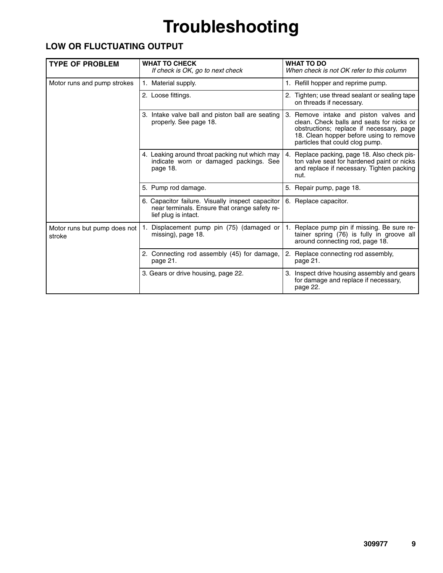#### **LOW OR FLUCTUATING OUTPUT**

| <b>TYPE OF PROBLEM</b>                 | <b>WHAT TO CHECK</b><br>If check is OK, go to next check                                                                  | <b>WHAT TO DO</b><br>When check is not OK refer to this column                                                                                                                                                |
|----------------------------------------|---------------------------------------------------------------------------------------------------------------------------|---------------------------------------------------------------------------------------------------------------------------------------------------------------------------------------------------------------|
| Motor runs and pump strokes            | 1. Material supply.                                                                                                       | 1. Refill hopper and reprime pump.                                                                                                                                                                            |
|                                        | 2. Loose fittings.                                                                                                        | 2. Tighten; use thread sealant or sealing tape<br>on threads if necessary.                                                                                                                                    |
|                                        | 3. Intake valve ball and piston ball are seating<br>properly. See page 18.                                                | 3. Remove intake and piston valves and<br>clean. Check balls and seats for nicks or<br>obstructions; replace if necessary, page<br>18. Clean hopper before using to remove<br>particles that could clog pump. |
|                                        | 4. Leaking around throat packing nut which may<br>indicate worn or damaged packings. See<br>page 18.                      | Replace packing, page 18. Also check pis-<br>4.<br>ton valve seat for hardened paint or nicks<br>and replace if necessary. Tighten packing<br>nut.                                                            |
|                                        | 5. Pump rod damage.                                                                                                       | 5. Repair pump, page 18.                                                                                                                                                                                      |
|                                        | 6. Capacitor failure. Visually inspect capacitor<br>near terminals. Ensure that orange safety re-<br>lief plug is intact. | 6. Replace capacitor.                                                                                                                                                                                         |
| Motor runs but pump does not<br>stroke | Displacement pump pin (75) (damaged or<br>missing), page 18.                                                              | Replace pump pin if missing. Be sure re-<br>tainer spring (76) is fully in groove all<br>around connecting rod, page 18.                                                                                      |
|                                        | 2. Connecting rod assembly (45) for damage,<br>page 21.                                                                   | 2. Replace connecting rod assembly,<br>page 21.                                                                                                                                                               |
|                                        | 3. Gears or drive housing, page 22.                                                                                       | 3. Inspect drive housing assembly and gears<br>for damage and replace if necessary,<br>page 22.                                                                                                               |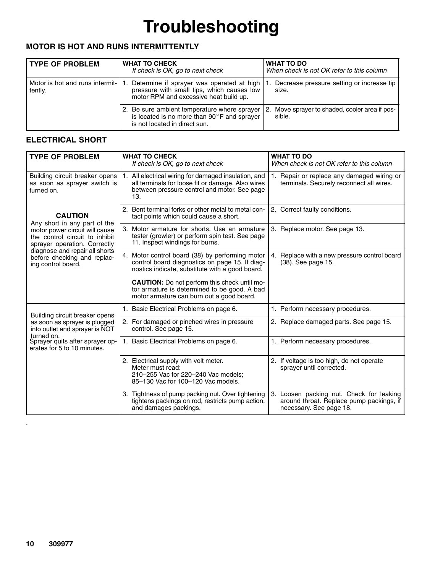#### **MOTOR IS HOT AND RUNS INTERMITTENTLY**

| <b>TYPE OF PROBLEM</b>                        | <b>WHAT TO CHECK</b><br>If check is OK, go to next check                                                                               | <b>WHAT TO DO</b><br>When check is not OK refer to this column |
|-----------------------------------------------|----------------------------------------------------------------------------------------------------------------------------------------|----------------------------------------------------------------|
| Motor is hot and runs intermit- 1.<br>tently. | Determine if sprayer was operated at high<br>pressure with small tips, which causes low<br>motor RPM and excessive heat build up.      | Decrease pressure setting or increase tip<br>size.             |
|                                               | 2. Be sure ambient temperature where sprayer<br>is located is no more than $90^{\circ}$ F and sprayer<br>is not located in direct sun. | Move sprayer to shaded, cooler area if pos-<br>2.<br>sible.    |

#### **ELECTRICAL SHORT**

| <b>TYPE OF PROBLEM</b>                                                                           | <b>WHAT TO CHECK</b><br>If check is OK, go to next check                                                                                                         | <b>WHAT TO DO</b><br>When check is not OK refer to this column                                                  |
|--------------------------------------------------------------------------------------------------|------------------------------------------------------------------------------------------------------------------------------------------------------------------|-----------------------------------------------------------------------------------------------------------------|
| Building circuit breaker opens<br>as soon as sprayer switch is<br>turned on.                     | 1. All electrical wiring for damaged insulation, and<br>all terminals for loose fit or damage. Also wires<br>between pressure control and motor. See page<br>13. | 1. Repair or replace any damaged wiring or<br>terminals. Securely reconnect all wires.                          |
| <b>CAUTION</b><br>Any short in any part of the                                                   | 2. Bent terminal forks or other metal to metal con-<br>tact points which could cause a short.                                                                    | 2. Correct faulty conditions.                                                                                   |
| motor power circuit will cause<br>the control circuit to inhibit<br>sprayer operation. Correctly | 3. Motor armature for shorts. Use an armature<br>tester (growler) or perform spin test. See page<br>11. Inspect windings for burns.                              | 3. Replace motor. See page 13.                                                                                  |
| diagnose and repair all shorts<br>before checking and replac-<br>ing control board.              | 4. Motor control board (38) by performing motor<br>control board diagnostics on page 15. If diag-<br>nostics indicate, substitute with a good board.             | 4. Replace with a new pressure control board<br>(38). See page 15.                                              |
|                                                                                                  | <b>CAUTION:</b> Do not perform this check until mo-<br>tor armature is determined to be good. A bad<br>motor armature can burn out a good board.                 |                                                                                                                 |
| Building circuit breaker opens                                                                   | 1. Basic Electrical Problems on page 6.                                                                                                                          | 1. Perform necessary procedures.                                                                                |
| as soon as sprayer is plugged<br>into outlet and sprayer is NOT<br>turned on.                    | 2. For damaged or pinched wires in pressure<br>control. See page 15.                                                                                             | 2. Replace damaged parts. See page 15.                                                                          |
| Sprayer quits after sprayer op-<br>erates for 5 to 10 minutes.                                   | 1. Basic Electrical Problems on page 6.                                                                                                                          | 1. Perform necessary procedures.                                                                                |
|                                                                                                  | 2. Electrical supply with volt meter.<br>Meter must read:<br>210-255 Vac for 220-240 Vac models;<br>85-130 Vac for 100-120 Vac models.                           | 2. If voltage is too high, do not operate<br>sprayer until corrected.                                           |
|                                                                                                  | 3. Tightness of pump packing nut. Over tightening<br>tightens packings on rod, restricts pump action,<br>and damages packings.                                   | 3. Loosen packing nut. Check for leaking<br>around throat. Replace pump packings, if<br>necessary. See page 18. |

.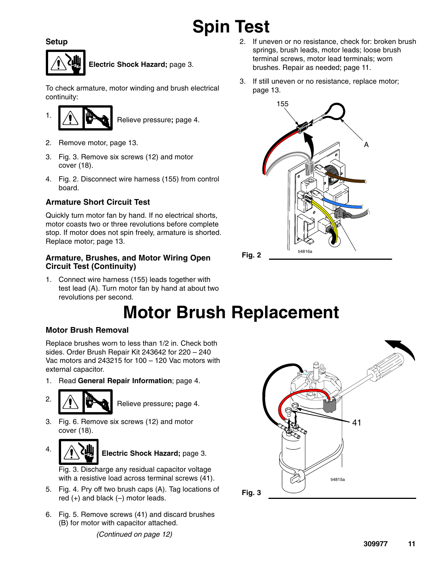# **Spin Test**

**Setup**



**Electric Shock Hazard;** page 3.

To check armature, motor winding and brush electrical continuity:



- 2. Remove motor, page 13.
- 3. Fig. 3. Remove six screws (12) and motor cover (18).
- 4. Fig. 2. Disconnect wire harness (155) from control board.

#### **Armature Short Circuit Test**

Quickly turn motor fan by hand. If no electrical shorts, motor coasts two or three revolutions before complete stop. If motor does not spin freely, armature is shorted. Replace motor; page 13.

#### **Armature, Brushes, and Motor Wiring Open Circuit Test (Continuity)**

1. Connect wire harness (155) leads together with test lead (A). Turn motor fan by hand at about two revolutions per second.

# **Motor Brush Replacement**

#### **Motor Brush Removal**

Replace brushes worn to less than 1/2 in. Check both sides. Order Brush Repair Kit 243642 for 220 – 240 Vac motors and 243215 for 100 – 120 Vac motors with external capacitor.

1. Read **General Repair Information**; page 4.



2.  $\sqrt{1}$  Relieve pressure; page 4.

- 3. Fig. 6. Remove six screws (12) and motor cover (18).
- Electric Shock Hazard; page 3.

Fig. 3. Discharge any residual capacitor voltage with a resistive load across terminal screws (41).

- 5. Fig. 4. Pry off two brush caps (A). Tag locations of red  $(+)$  and black  $(-)$  motor leads.
- 6. Fig. 5. Remove screws (41) and discard brushes (B) for motor with capacitor attached. *(Continued on page 12)*
- 2. If uneven or no resistance, check for: broken brush springs, brush leads, motor leads; loose brush terminal screws, motor lead terminals; worn brushes. Repair as needed; page 11.
- 3. If still uneven or no resistance, replace motor; page 13.



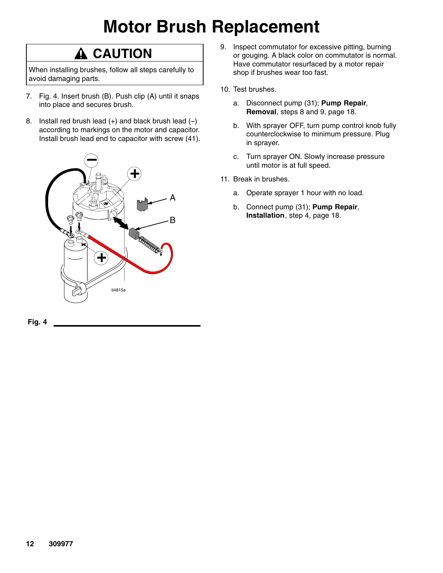# **Motor Brush Replacement**

### $\hat{\mathbf{A}}$  CAUTION

When installing brushes, follow all steps carefully to avoid damaging parts.

- 7. Fig. 4. Insert brush (B). Push clip (A) until it snaps into place and secures brush.
- 8. Install red brush lead  $(+)$  and black brush lead  $(-)$ according to markings on the motor and capacitor. Install brush lead end to capacitor with screw (41).





- 9. Inspect commutator for excessive pitting, burning or gouging. A black color on commutator is normal. Have commutator resurfaced by a motor repair shop if brushes wear too fast.
- 10. Test brushes.
	- a. Disconnect pump (31); **Pump Repair**, **Removal**, steps 8 and 9, page 18.
	- b. With sprayer OFF, turn pump control knob fully counterclockwise to minimum pressure. Plug in sprayer.
	- c. Turn sprayer ON. Slowly increase pressure until motor is at full speed.
- 11. Break in brushes.
	- a. Operate sprayer 1 hour with no load.
	- b. Connect pump (31); **Pump Repair**, **Installation**, step 4, page 18.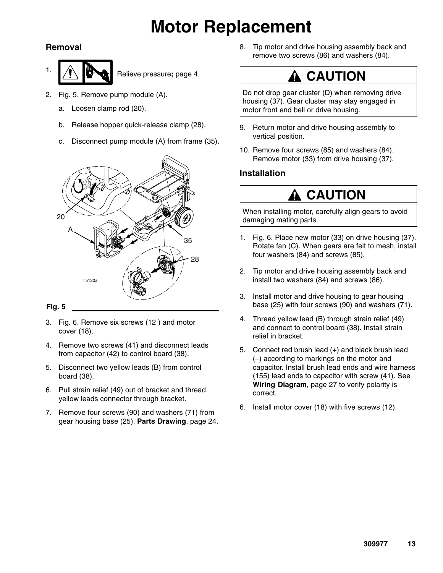## **Motor Replacement**

#### **Removal**

 $\frac{1}{\sqrt{1}}$   $\frac{1}{\sqrt{1}}$  Relieve pressure; page 4.

- 2. Fig. 5. Remove pump module (A).
	- a. Loosen clamp rod (20).
	- b. Release hopper quick-release clamp (28).
	- c. Disconnect pump module (A) from frame (35).



#### **Fig. 5**

- 3. Fig. 6. Remove six screws (12 ) and motor cover (18).
- 4. Remove two screws (41) and disconnect leads from capacitor (42) to control board (38).
- 5. Disconnect two yellow leads (B) from control board (38).
- 6. Pull strain relief (49) out of bracket and thread yellow leads connector through bracket.
- 7. Remove four screws (90) and washers (71) from gear housing base (25), **Parts Drawing**, page 24.

8. Tip motor and drive housing assembly back and remove two screws (86) and washers (84).

### **CAUTION**

Do not drop gear cluster (D) when removing drive housing (37). Gear cluster may stay engaged in motor front end bell or drive housing.

- 9. Return motor and drive housing assembly to vertical position.
- 10. Remove four screws (85) and washers (84). Remove motor (33) from drive housing (37).

#### **Installation**

### **CAUTION**

When installing motor, carefully align gears to avoid damaging mating parts.

- 1. Fig. 6. Place new motor (33) on drive housing (37). Rotate fan (C). When gears are felt to mesh, install four washers (84) and screws (85).
- 2. Tip motor and drive housing assembly back and install two washers (84) and screws (86).
- 3. Install motor and drive housing to gear housing base (25) with four screws (90) and washers (71).
- 4. Thread yellow lead (B) through strain relief (49) and connect to control board (38). Install strain relief in bracket.
- 5. Connect red brush lead (+) and black brush lead (–) according to markings on the motor and capacitor. Install brush lead ends and wire harness (155) lead ends to capacitor with screw (41). See **Wiring Diagram**, page 27 to verify polarity is correct.
- 6. Install motor cover (18) with five screws (12).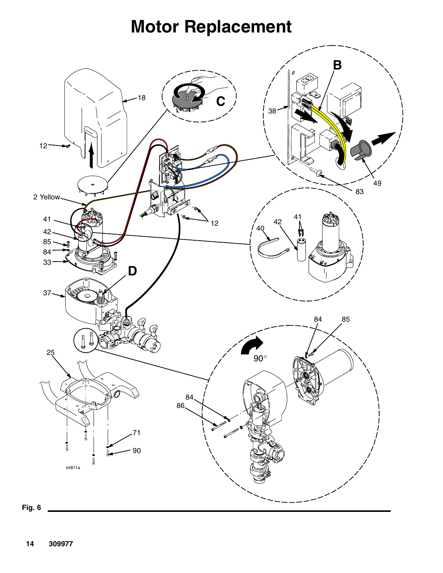## **Motor Replacement**

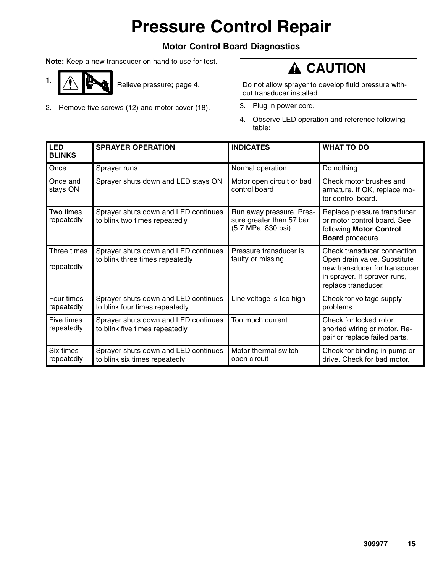# **Pressure Control Repair**

#### **Motor Control Board Diagnostics**

**Note:** Keep a new transducer on hand to use for test.

- 1.  $\left| \bigwedge \right|$  Relieve pressure; page 4.
- 2. Remove five screws (12) and motor cover (18).

### **A** CAUTION

Do not allow sprayer to develop fluid pressure without transducer installed.

- 3. Plug in power cord.
- 4. Observe LED operation and reference following table:

| <b>LED</b><br><b>BLINKS</b> | <b>SPRAYER OPERATION</b>                                                | <b>INDICATES</b>                                                            | <b>WHAT TO DO</b>                                                                                                                                    |
|-----------------------------|-------------------------------------------------------------------------|-----------------------------------------------------------------------------|------------------------------------------------------------------------------------------------------------------------------------------------------|
| Once                        | Sprayer runs                                                            | Normal operation                                                            | Do nothing                                                                                                                                           |
| Once and<br>stays ON        | Sprayer shuts down and LED stays ON                                     | Motor open circuit or bad<br>control board                                  | Check motor brushes and<br>armature. If OK, replace mo-<br>tor control board.                                                                        |
| Two times<br>repeatedly     | Sprayer shuts down and LED continues<br>to blink two times repeatedly   | Run away pressure. Pres-<br>sure greater than 57 bar<br>(5.7 MPa, 830 psi). | Replace pressure transducer<br>or motor control board. See<br>following Motor Control<br>Board procedure.                                            |
| Three times<br>repeatedly   | Sprayer shuts down and LED continues<br>to blink three times repeatedly | Pressure transducer is<br>faulty or missing                                 | Check transducer connection.<br>Open drain valve. Substitute<br>new transducer for transducer<br>in sprayer. If sprayer runs,<br>replace transducer. |
| Four times<br>repeatedly    | Sprayer shuts down and LED continues<br>to blink four times repeatedly  | Line voltage is too high                                                    | Check for voltage supply<br>problems                                                                                                                 |
| Five times<br>repeatedly    | Sprayer shuts down and LED continues<br>to blink five times repeatedly  | Too much current                                                            | Check for locked rotor,<br>shorted wiring or motor. Re-<br>pair or replace failed parts.                                                             |
| Six times<br>repeatedly     | Sprayer shuts down and LED continues<br>to blink six times repeatedly   | Motor thermal switch<br>open circuit                                        | Check for binding in pump or<br>drive. Check for bad motor.                                                                                          |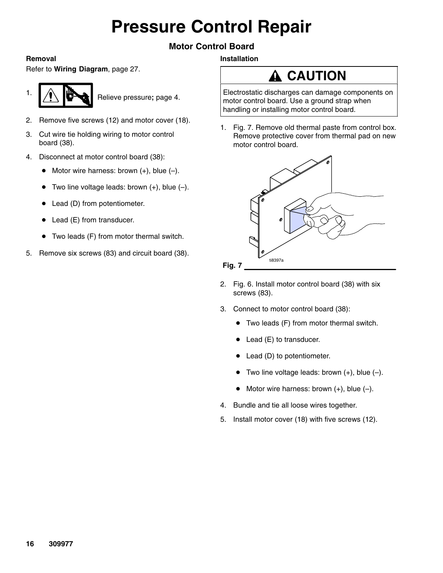# **Pressure Control Repair**

#### **Motor Control Board**

**Installation**

#### **Removal**

Refer to **Wiring Diagram**, page 27.



- 2. Remove five screws (12) and motor cover (18).
- 3. Cut wire tie holding wiring to motor control board (38).
- 4. Disconnect at motor control board (38):
	- $\bullet$  Motor wire harness: brown  $(+)$ , blue  $(-)$ .
	- $\bullet$  Two line voltage leads: brown  $(+)$ , blue  $(-)$ .
	- Lead (D) from potentiometer.
	- Lead (E) from transducer.
	- Two leads (F) from motor thermal switch.
- 5. Remove six screws (83) and circuit board (38).

## **A** CAUTION

Electrostatic discharges can damage components on motor control board. Use a ground strap when handling or installing motor control board.

1. Fig. 7. Remove old thermal paste from control box. Remove protective cover from thermal pad on new motor control board.



- 2. Fig. 6. Install motor control board (38) with six screws (83).
- 3. Connect to motor control board (38):
	- Two leads (F) from motor thermal switch.
	- Lead (E) to transducer.
	- Lead (D) to potentiometer.
	- $\bullet$  Two line voltage leads: brown  $(+)$ , blue  $(-)$ .
	- $\bullet$  Motor wire harness: brown  $(+)$ , blue  $(-)$ .
- 4. Bundle and tie all loose wires together.
- 5. Install motor cover (18) with five screws (12).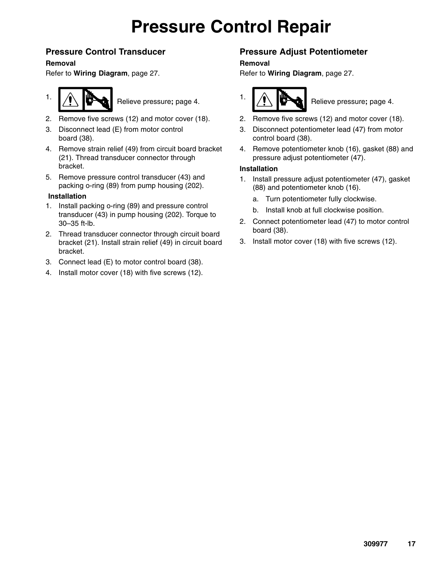## **Pressure Control Repair**

#### **Pressure Control Transducer**

#### **Removal**

Refer to **Wiring Diagram**, page 27.



1.  $\left| \bigwedge \right|$  Relieve pressure; page 4.

- 2. Remove five screws (12) and motor cover (18).
- 3. Disconnect lead (E) from motor control board (38).
- 4. Remove strain relief (49) from circuit board bracket (21). Thread transducer connector through bracket.
- 5. Remove pressure control transducer (43) and packing o-ring (89) from pump housing (202).

#### **Installation**

- 1. Install packing o-ring (89) and pressure control transducer (43) in pump housing (202). Torque to 30–35 ft-lb.
- 2. Thread transducer connector through circuit board bracket (21). Install strain relief (49) in circuit board bracket.
- 3. Connect lead (E) to motor control board (38).
- 4. Install motor cover (18) with five screws (12).

#### **Pressure Adjust Potentiometer**

#### **Removal**

Refer to **Wiring Diagram**, page 27.



- 2. Remove five screws (12) and motor cover (18).
- 3. Disconnect potentiometer lead (47) from motor control board (38).
- 4. Remove potentiometer knob (16), gasket (88) and pressure adjust potentiometer (47).

#### **Installation**

- 1. Install pressure adjust potentiometer (47), gasket (88) and potentiometer knob (16).
	- a. Turn potentiometer fully clockwise.
	- b. Install knob at full clockwise position.
- 2. Connect potentiometer lead (47) to motor control board (38).
- 3. Install motor cover (18) with five screws (12).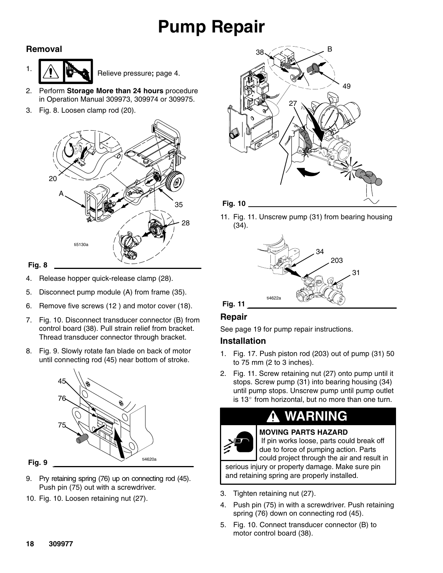# **Pump Repair**

#### **Removal**



- 2. Perform **Storage More than 24 hours** procedure in Operation Manual 309973, 309974 or 309975.
- 3. Fig. 8. Loosen clamp rod (20).



#### **Fig. 8**

- 4. Release hopper quick-release clamp (28).
- 5. Disconnect pump module (A) from frame (35).
- 6. Remove five screws (12 ) and motor cover (18).
- 7. Fig. 10. Disconnect transducer connector (B) from control board (38). Pull strain relief from bracket. Thread transducer connector through bracket.
- 8. Fig. 9. Slowly rotate fan blade on back of motor until connecting rod (45) near bottom of stroke.



#### **Fig. 9**

- 9. Pry retaining spring (76) up on connecting rod (45). Push pin (75) out with a screwdriver.
- 10. Fig. 10. Loosen retaining nut (27).



11. Fig. 11. Unscrew pump (31) from bearing housing (34).



#### **Repair**

See page 19 for pump repair instructions.

#### **Installation**

- 1. Fig. 17. Push piston rod (203) out of pump (31) 50 to 75 mm (2 to 3 inches).
- 2. Fig. 11. Screw retaining nut (27) onto pump until it stops. Screw pump (31) into bearing housing (34) until pump stops. Unscrew pump until pump outlet is  $13^\circ$  from horizontal, but no more than one turn.

### **WARNING**



**MOVING PARTS HAZARD** If pin works loose, parts could break off due to force of pumping action. Parts

could project through the air and result in serious injury or property damage. Make sure pin and retaining spring are properly installed.

- 3. Tighten retaining nut (27).
- 4. Push pin (75) in with a screwdriver. Push retaining spring (76) down on connecting rod (45).
- 5. Fig. 10. Connect transducer connector (B) to motor control board (38).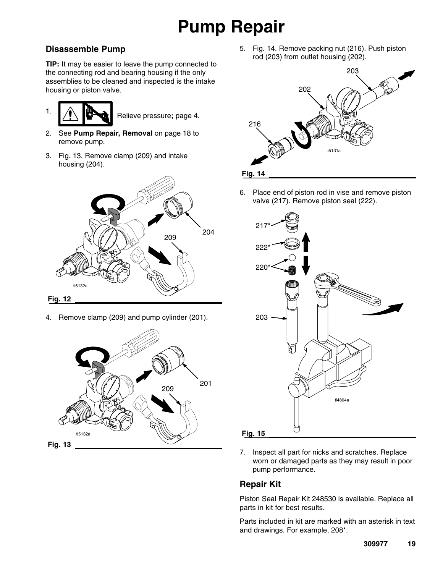# **Pump Repair**

#### **Disassemble Pump**

**TIP:** It may be easier to leave the pump connected to the connecting rod and bearing housing if the only assemblies to be cleaned and inspected is the intake housing or piston valve.

1. **All Relieve pressure; page 4.** 

- 2. See **Pump Repair, Removal** on page 18 to remove pump.
- 3. Fig. 13. Remove clamp (209) and intake housing (204).



4. Remove clamp (209) and pump cylinder (201).



5. Fig. 14. Remove packing nut (216). Push piston rod (203) from outlet housing (202).



6. Place end of piston rod in vise and remove piston valve (217). Remove piston seal (222).



7. Inspect all part for nicks and scratches. Replace worn or damaged parts as they may result in poor pump performance.

#### **Repair Kit**

Piston Seal Repair Kit 248530 is available. Replace all parts in kit for best results.

Parts included in kit are marked with an asterisk in text and drawings. For example, 208\*.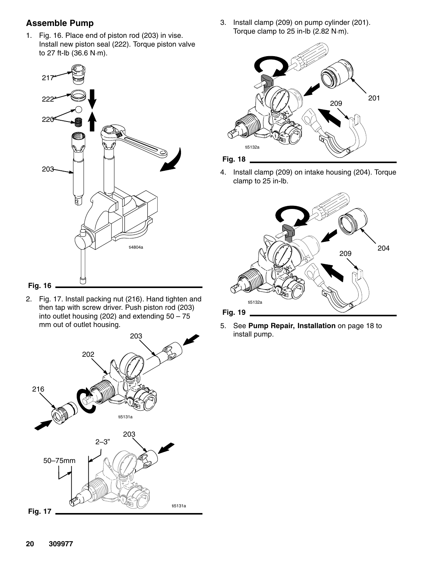#### **Assemble Pump**

1. Fig. 16. Place end of piston rod (203) in vise. Install new piston seal (222). Torque piston valve<br>to 27 ft-lb (36.6 N·m). to 27 ft-lb (36.6 N·m).





2. Fig. 17. Install packing nut (216). Hand tighten and then tap with screw driver. Push piston rod (203) into outlet housing (202) and extending 50 – 75 mm out of outlet housing.



3. Install clamp (209) on pump cylinder (201). Install clamp (209) on pump cylinde<mark>r</mark><br>Torque clamp to 25 in-lb (2.82 N·m).



4. Install clamp (209) on intake housing (204). Torque clamp to 25 in-lb.



5. See **Pump Repair, Installation** on page 18 to install pump.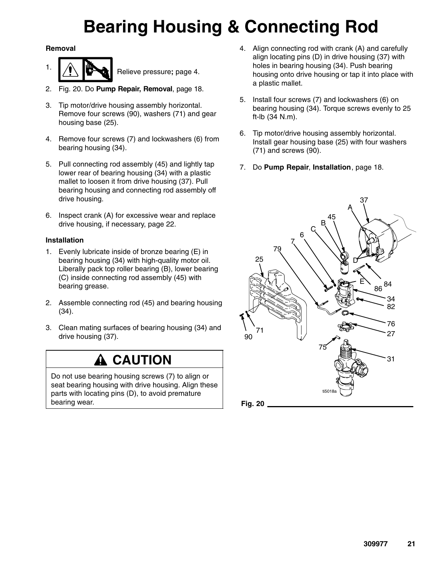# **Bearing Housing & Connecting Rod**

#### **Removal**

- 1.  $\left| \bigwedge \right|$  Relieve pressure; page 4.
- 2. Fig. 20. Do **Pump Repair, Removal**, page 18.
- 3. Tip motor/drive housing assembly horizontal. Remove four screws (90), washers (71) and gear housing base (25).
- 4. Remove four screws (7) and lockwashers (6) from bearing housing (34).
- 5. Pull connecting rod assembly (45) and lightly tap lower rear of bearing housing (34) with a plastic mallet to loosen it from drive housing (37). Pull bearing housing and connecting rod assembly off drive housing.
- 6. Inspect crank (A) for excessive wear and replace drive housing, if necessary, page 22.

#### **Installation**

- 1. Evenly lubricate inside of bronze bearing (E) in bearing housing (34) with high-quality motor oil. Liberally pack top roller bearing (B), lower bearing (C) inside connecting rod assembly (45) with bearing grease.
- 2. Assemble connecting rod (45) and bearing housing (34).
- 3. Clean mating surfaces of bearing housing (34) and drive housing (37).

### $\hat{\mathbf{A}}$  CAUTION

Do not use bearing housing screws (7) to align or seat bearing housing with drive housing. Align these parts with locating pins (D), to avoid premature bearing wear.

- 4. Align connecting rod with crank (A) and carefully align locating pins (D) in drive housing (37) with holes in bearing housing (34). Push bearing housing onto drive housing or tap it into place with a plastic mallet.
- 5. Install four screws (7) and lockwashers (6) on bearing housing (34). Torque screws evenly to 25 ft-lb (34 N.m).
- 6. Tip motor/drive housing assembly horizontal. Install gear housing base (25) with four washers (71) and screws (90).
- 7. Do **Pump Repair**, **Installation**, page 18.

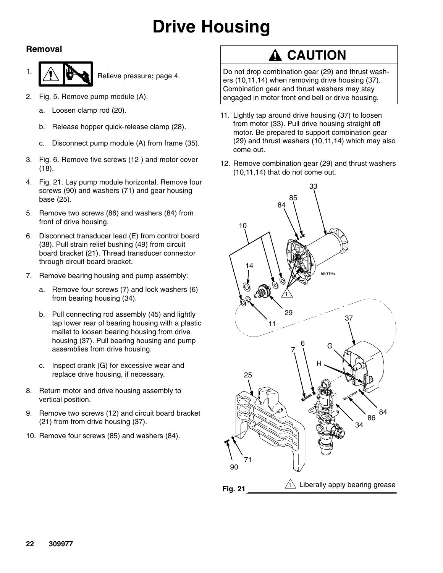# **Drive Housing**

#### **Removal**



- 2. Fig. 5. Remove pump module (A).
	- a. Loosen clamp rod (20).
	- b. Release hopper quick-release clamp (28).
	- c. Disconnect pump module (A) from frame (35).
- 3. Fig. 6. Remove five screws (12 ) and motor cover (18).
- 4. Fig. 21. Lay pump module horizontal. Remove four screws (90) and washers (71) and gear housing base (25).
- 5. Remove two screws (86) and washers (84) from front of drive housing.
- 6. Disconnect transducer lead (E) from control board (38). Pull strain relief bushing (49) from circuit board bracket (21). Thread transducer connector through circuit board bracket.
- 7. Remove bearing housing and pump assembly:
	- a. Remove four screws (7) and lock washers (6) from bearing housing (34).
	- b. Pull connecting rod assembly (45) and lightly tap lower rear of bearing housing with a plastic mallet to loosen bearing housing from drive housing (37). Pull bearing housing and pump assemblies from drive housing.
	- c. Inspect crank (G) for excessive wear and replace drive housing, if necessary.
- 8. Return motor and drive housing assembly to vertical position.
- 9. Remove two screws (12) and circuit board bracket (21) from from drive housing (37).
- 10. Remove four screws (85) and washers (84).

### **A CAUTION**

Do not drop combination gear (29) and thrust washers (10,11,14) when removing drive housing (37). Combination gear and thrust washers may stay engaged in motor front end bell or drive housing.

- 11. Lightly tap around drive housing (37) to loosen from motor (33). Pull drive housing straight off motor. Be prepared to support combination gear (29) and thrust washers (10,11,14) which may also come out.
- 12. Remove combination gear (29) and thrust washers (10,11,14) that do not come out.

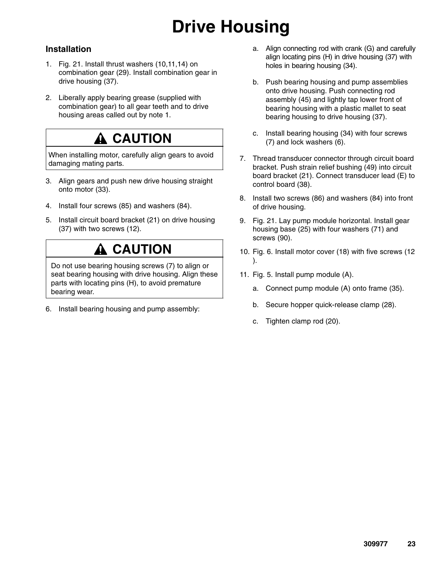# **Drive Housing**

#### **Installation**

- 1. Fig. 21. Install thrust washers (10,11,14) on combination gear (29). Install combination gear in drive housing (37).
- 2. Liberally apply bearing grease (supplied with combination gear) to all gear teeth and to drive housing areas called out by note 1.

### **A** CAUTION

When installing motor, carefully align gears to avoid damaging mating parts.

- 3. Align gears and push new drive housing straight onto motor (33).
- 4. Install four screws (85) and washers (84).
- 5. Install circuit board bracket (21) on drive housing (37) with two screws (12).

### **A CAUTION**

Do not use bearing housing screws (7) to align or seat bearing housing with drive housing. Align these parts with locating pins (H), to avoid premature bearing wear.

6. Install bearing housing and pump assembly:

- a. Align connecting rod with crank (G) and carefully align locating pins (H) in drive housing (37) with holes in bearing housing (34).
- b. Push bearing housing and pump assemblies onto drive housing. Push connecting rod assembly (45) and lightly tap lower front of bearing housing with a plastic mallet to seat bearing housing to drive housing (37).
- c. Install bearing housing (34) with four screws (7) and lock washers (6).
- 7. Thread transducer connector through circuit board bracket. Push strain relief bushing (49) into circuit board bracket (21). Connect transducer lead (E) to control board (38).
- 8. Install two screws (86) and washers (84) into front of drive housing.
- 9. Fig. 21. Lay pump module horizontal. Install gear housing base (25) with four washers (71) and screws (90).
- 10. Fig. 6. Install motor cover (18) with five screws (12 ).
- 11. Fig. 5. Install pump module (A).
	- a. Connect pump module (A) onto frame (35).
	- b. Secure hopper quick-release clamp (28).
	- c. Tighten clamp rod (20).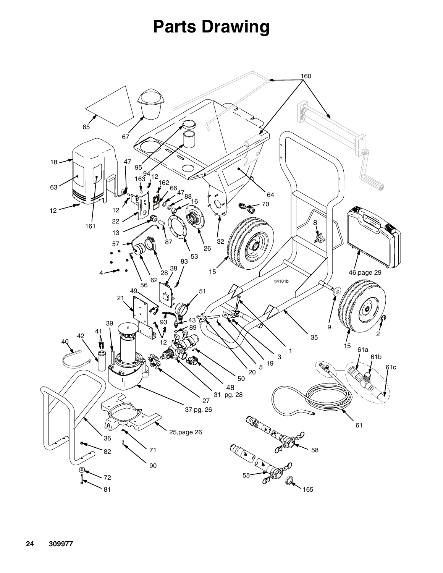## **Parts Drawing**

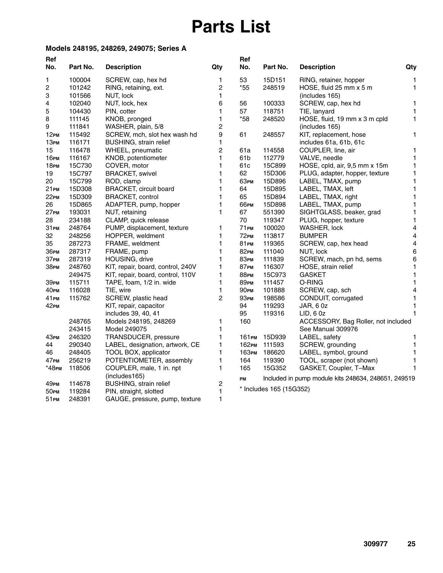## **Parts List**

#### **Models 248195, 248269, 249075; Series A**

| Ref                     |          |                                   |                         | Ref                |                         |                                                     |                         |
|-------------------------|----------|-----------------------------------|-------------------------|--------------------|-------------------------|-----------------------------------------------------|-------------------------|
| No.                     | Part No. | <b>Description</b>                | Qty                     | No.                | Part No.                | <b>Description</b>                                  | Qty                     |
| 1                       | 100004   | SCREW, cap, hex hd                | $\mathbf{1}$            | 53                 | 15D151                  | RING, retainer, hopper                              | $\mathbf{1}$            |
| $\overline{\mathbf{c}}$ | 101242   | RING, retaining, ext.             | $\overline{c}$          | $*55$              | 248519                  | HOSE, fluid 25 mm x 5 m                             | 1                       |
| 3                       | 101566   | NUT, lock                         | 1                       |                    |                         | (includes 165)                                      |                         |
| 4                       | 102040   | NUT, lock, hex                    | 6                       | 56                 | 100333                  | SCREW, cap, hex hd                                  | 1                       |
| 5                       | 104430   | PIN, cotter                       | 1                       | 57                 | 118751                  | TIE, lanyard                                        | 1                       |
| 8                       | 111145   | KNOB, pronged                     | 1                       | $*58$              | 248520                  | HOSE, fluid, 19 mm x 3 m cpld                       | 1                       |
| 9                       | 111841   | WASHER, plain, 5/8                | $\overline{c}$          |                    |                         | (includes 165)                                      |                         |
| 12 <sub>PM</sub>        | 115492   | SCREW, mch, slot hex wash hd      | 9                       | 61                 | 248557                  | KIT, replacement, hose                              | 1                       |
| 13 рм                   | 116171   | <b>BUSHING, strain relief</b>     | 1                       |                    |                         | includes 61a, 61b, 61c                              |                         |
| 15                      | 116478   | WHEEL, pneumatic                  | $\overline{c}$          | 61a                | 114558                  | COUPLER, line, air                                  | 1                       |
| 16 рм                   | 116167   | KNOB, potentiometer               | $\mathbf{1}$            | 61b                | 112779                  | VALVE, needle                                       | 1                       |
| 18Рм                    | 15C730   | COVER, motor                      | 1                       | 61c                | 15C899                  | HOSE, cpld, air, 9,5 mm x 15m                       | 1                       |
| 19                      | 15C797   | <b>BRACKET, swivel</b>            | 1                       | 62                 | 15D306                  | PLUG, adapter, hopper, texture                      | 1                       |
| 20                      | 15C799   | ROD, clamp                        | 1                       | 63 рм              | 15D896                  | LABEL, TMAX, pump                                   | 1                       |
| 21 <sub>PM</sub>        | 15D308   | BRACKET, circuit board            | 1                       | 64                 | 15D895                  | LABEL, TMAX, left                                   | 1                       |
| 22 <sub>PM</sub>        | 15D309   | <b>BRACKET, control</b>           | 1                       | 65                 | 15D894                  | LABEL, TMAX, right                                  | 1                       |
| 26                      | 15D865   | ADAPTER, pump, hopper             | 1                       | <b>66рм</b>        | 15D898                  | LABEL, TMAX, pump                                   | 1                       |
| 27 <sub>PM</sub>        | 193031   | NUT, retaining                    | $\mathbf{1}$            | 67                 | 551390                  | SIGHTGLASS, beaker, grad                            | 1                       |
| 28                      | 234188   | CLAMP, quick release              |                         | 70                 | 119347                  | PLUG, hopper, texture                               | 1                       |
| 31 рм                   | 248764   | PUMP, displacement, texture       | $\mathbf{1}$            | 71PM               | 100020                  | WASHER, lock                                        | $\overline{\mathbf{4}}$ |
| 32                      | 248256   | HOPPER, weldment                  | 1                       | $72$ <sub>PM</sub> | 113817                  | <b>BUMPER</b>                                       | 4                       |
| 35                      | 287273   | FRAME, weldment                   | 1                       | 81 рм              | 119365                  | SCREW, cap, hex head                                | $\overline{4}$          |
| 36 рм                   | 287317   | FRAME, pump                       | $\mathbf{1}$            | 82PM               | 111040                  | NUT, lock                                           | 6                       |
| 37 рм                   | 287319   | HOUSING, drive                    | 1                       | <b>83PM</b>        | 111839                  | SCREW, mach, pn hd, sems                            | 6                       |
| 38 рм                   | 248760   | KIT, repair, board, control, 240V | 1                       | 87 <sub>PM</sub>   | 116307                  | HOSE, strain relief                                 | 1                       |
|                         | 249475   | KIT, repair, board, control, 110V | $\mathbf{1}$            | <b>88PM</b>        | 15C973                  | <b>GASKET</b>                                       | 1                       |
| З9рм                    | 115711   | TAPE, foam, 1/2 in. wide          | $\mathbf{1}$            | <b>89PM</b>        | 111457                  | O-RING                                              | 1                       |
| 40рм                    | 116028   | TIE, wire                         | 1                       | 90рм               | 101888                  | SCREW, cap, sch                                     | 4                       |
| 41 <sub>PM</sub>        | 115762   | SCREW, plastic head               | $\overline{2}$          | 93 рм              | 198586                  | CONDUIT, corrugated                                 | 1                       |
| 42 <sub>PM</sub>        |          | KIT, repair, capacitor            |                         | 94                 | 119293                  | JAR, 6 0z                                           | 1                       |
|                         |          | includes 39, 40, 41               |                         | 95                 | 119316                  | LID, 60z                                            | 1                       |
|                         | 248765   | Models 248195, 248269             | 1                       | 160                |                         | ACCESSORY, Bag Roller, not included                 |                         |
|                         | 243415   | Model 249075                      | 1                       |                    |                         | See Manual 309976                                   |                         |
| 43рм                    | 246320   | <b>TRANSDUCER, pressure</b>       | 1                       | 161рм              | 15D939                  | LABEL, safety                                       | 1                       |
| 44                      | 290340   | LABEL, designation, artwork, CE   | 1                       | 162 рм             | 111593                  | SCREW, grounding                                    | $\mathbf{1}$            |
| 46                      | 248405   | TOOL BOX, applicator              | 1                       | 163рм              | 186620                  | LABEL, symbol, ground                               | 1                       |
| 47 рм                   | 256219   | POTENTIOMETER, assembly           | $\mathbf{1}$            | 164                | 119390                  | TOOL, scraper (not shown)                           | 1                       |
| *48рм                   | 118506   | COUPLER, male, 1 in. npt          | $\mathbf{1}$            | 165                | 15G352                  | GASKET, Coupler, T-Max                              | 1                       |
|                         |          | (includes165)                     |                         | PM                 |                         | Included in pump module kits 248634, 248651, 249519 |                         |
| 49рм                    | 114678   | BUSHING, strain relief            | $\overline{\mathbf{c}}$ |                    | * Includes 165 (15G352) |                                                     |                         |
| 50рм                    | 119284   | PIN, straight, slotted            | $\mathbf{1}$            |                    |                         |                                                     |                         |
| 51 рм                   | 248391   | GAUGE, pressure, pump, texture    | $\mathbf{1}$            |                    |                         |                                                     |                         |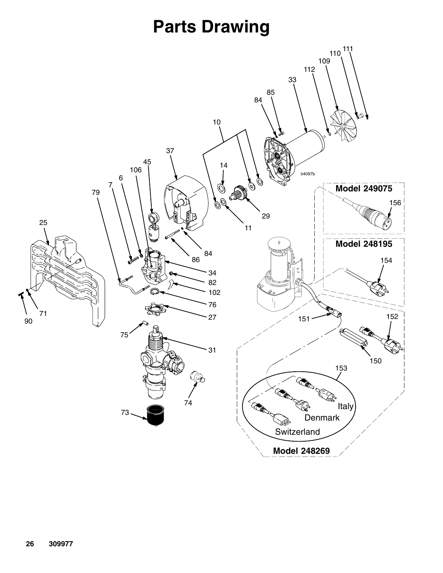## **Parts Drawing**

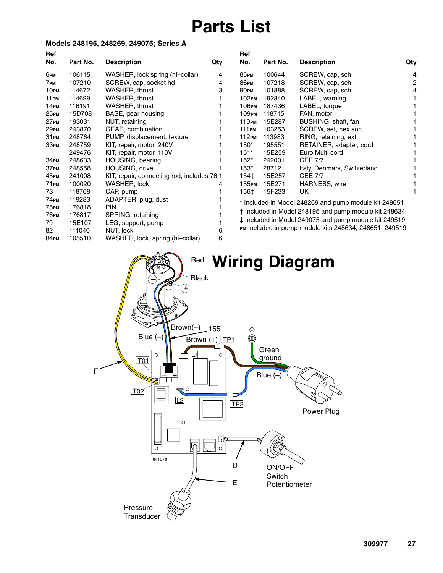## **Parts List**

#### **Models 248195, 248269, 249075; Series A**

| Ref              |          |                                            |     | Ref         |          |                                                        |     |
|------------------|----------|--------------------------------------------|-----|-------------|----------|--------------------------------------------------------|-----|
| No.              | Part No. | <b>Description</b>                         | Qty | No.         | Part No. | <b>Description</b>                                     | Qty |
| 6рм              | 106115   | WASHER, lock spring (hi-collar)            | 4   | <b>85рм</b> | 100644   | SCREW, cap, sch                                        | 4   |
| 7 рм             | 107210   | SCREW, cap, socket hd                      | 4   | <b>86рм</b> | 107218   | SCREW, cap, sch                                        | 2   |
| 10 <sub>PM</sub> | 114672   | WASHER, thrust                             | 3   | <b>90рм</b> | 101888   | SCREW, cap, sch                                        |     |
| 11 рм            | 114699   | WASHER, thrust                             |     | 102 рм      | 192840   | LABEL, warning                                         |     |
| 14 рм            | 116191   | WASHER, thrust                             |     | 106рм       | 187436   | LABEL, torque                                          |     |
| 25рм             | 15D708   | BASE, gear housing                         |     | 109рм       | 118715   | FAN, motor                                             |     |
| 27 <sub>PM</sub> | 193031   | NUT, retaining                             |     | 110рм       | 15E287   | BUSHING, shaft, fan                                    |     |
| 29рм             | 243870   | GEAR, combination                          |     | 111 рм      | 103253   | SCREW, set, hex soc                                    |     |
| 31 рм            | 248764   | PUMP, displacement, texture                |     | 112 рм      | 113983   | RING, retaining, ext                                   |     |
| ЗЗРМ             | 248759   | KIT, repair, motor, 240V                   |     | $150*$      | 195551   | RETAINER, adapter, cord                                |     |
|                  | 249476   | KIT, repair, motor, 110V                   |     | $151*$      | 15E259   | Euro Multi cord                                        |     |
| 34 рм            | 248633   | HOUSING, bearing                           |     | $152*$      | 242001   | <b>CEE 7/7</b>                                         |     |
| 37 рм            | 248558   | HOUSING, drive                             |     | $153*$      | 287121   | Italy, Denmark, Switzerland                            |     |
| 45рм             | 241008   | KIT, repair, connecting rod, includes 76 1 |     | 154†        | 15E257   | <b>CEE 7/7</b>                                         |     |
| 71 рм            | 100020   | WASHER, lock                               | 4   | 155рм       | 15E271   | <b>HARNESS, wire</b>                                   |     |
| 73               | 118768   | CAP, pump                                  |     | 156‡        | 15F233   | UK                                                     |     |
| 74рм             | 119283   | ADAPTER, plug, dust                        |     |             |          | * Included in Model 248269 and pump module kit 248651  |     |
| 75 рм            | 176818   | <b>PIN</b>                                 |     |             |          |                                                        |     |
| 76рм             | 176817   | SPRING, retaining                          |     |             |          | t Included in Model 248195 and pump module kit 248634  |     |
| 79               | 15E107   | LEG, support, pump                         |     |             |          | ‡ Included in Model 249075 and pump module kit 249519  |     |
| 82               | 111040   | NUT, lock                                  | 6   |             |          | PM Included in pump module kits 248634, 248651, 249519 |     |

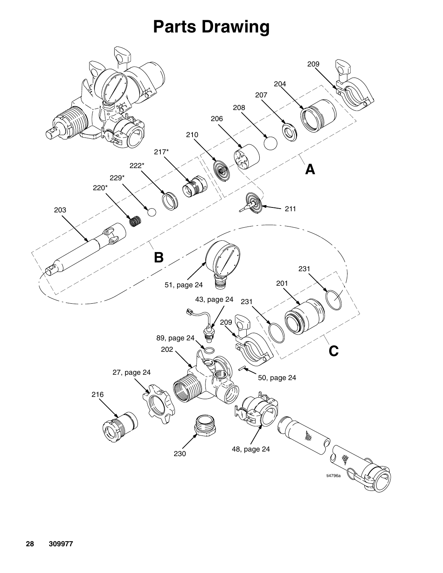## **Parts Drawing**

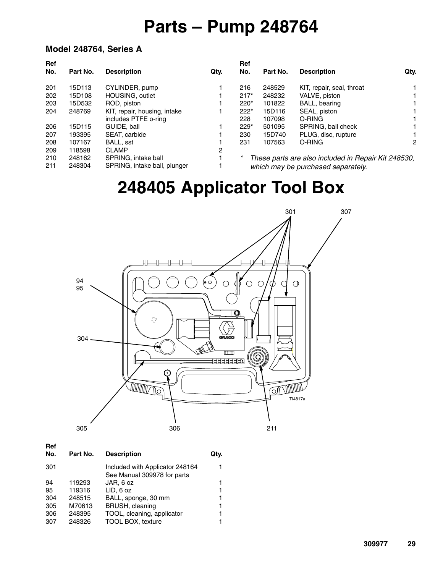## **Parts – Pump 248764**

#### **Model 248764, Series A**

| Ref |          |                              |      | Ref    |          |                                                     |                      |
|-----|----------|------------------------------|------|--------|----------|-----------------------------------------------------|----------------------|
| No. | Part No. | <b>Description</b>           | Qty. | No.    | Part No. | <b>Description</b>                                  | Qty.                 |
| 201 | 15D113   | CYLINDER, pump               |      | 216    | 248529   | KIT, repair, seal, throat                           |                      |
| 202 | 15D108   | HOUSING, outlet              |      | $217*$ | 248232   | VALVE, piston                                       |                      |
| 203 | 15D532   | ROD, piston                  |      | $220*$ | 101822   | BALL, bearing                                       |                      |
| 204 | 248769   | KIT, repair, housing, intake |      | $222*$ | 15D116   | SEAL, piston                                        |                      |
|     |          | includes PTFE o-ring         |      | 228    | 107098   | O-RING                                              |                      |
| 206 | 15D115   | GUIDE, ball                  |      | $229*$ | 501095   | SPRING, ball check                                  |                      |
| 207 | 193395   | SEAT, carbide                |      | 230    | 15D740   | PLUG, disc, rupture                                 |                      |
| 208 | 107167   | BALL, sst                    |      | 231    | 107563   | O-RING                                              | $\mathbf{2}^{\circ}$ |
| 209 | 118598   | <b>CLAMP</b>                 | 2    |        |          |                                                     |                      |
| 210 | 248162   | SPRING, intake ball          |      | *      |          | These parts are also included in Repair Kit 248530, |                      |
| 211 | 248304   | SPRING, intake ball, plunger |      |        |          | which may be purchased separately.                  |                      |

## **248405 Applicator Tool Box**



**Ref**

| No. | Part No. | <b>Description</b>                                             | Qtv. |
|-----|----------|----------------------------------------------------------------|------|
| 301 |          | Included with Applicator 248164<br>See Manual 309978 for parts |      |
| 94  | 119293   | JAR, 6 oz                                                      | 1    |
| 95  | 119316   | LID, 6 oz                                                      | 1    |
| 304 | 248515   | BALL, sponge, 30 mm                                            | 1    |
| 305 | M70613   | BRUSH, cleaning                                                | 1    |
| 306 | 248395   | TOOL, cleaning, applicator                                     | 1    |
| 307 | 248326   | <b>TOOL BOX, texture</b>                                       |      |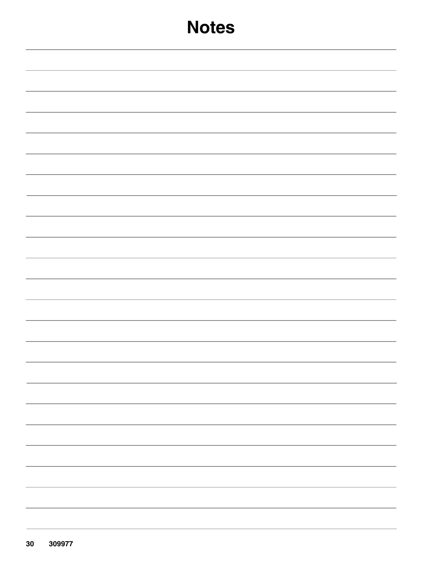| <b>Notes</b> |
|--------------|
|              |
|              |
|              |
|              |
|              |
|              |
|              |
|              |
|              |
|              |
|              |
|              |
|              |
|              |
|              |
|              |
|              |
|              |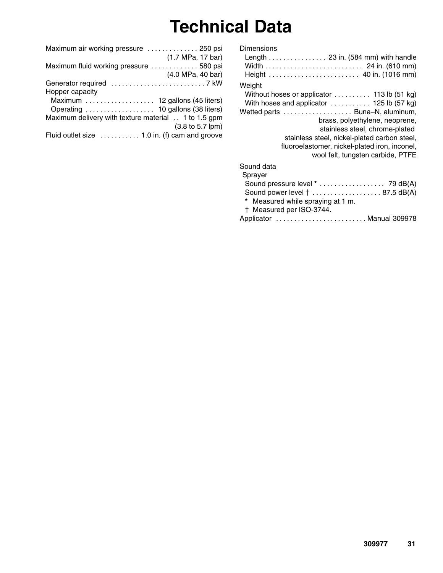## **Technical Data**

| Maximum air working pressure  250 psi               |                   |
|-----------------------------------------------------|-------------------|
|                                                     | (1.7 MPa, 17 bar) |
| Maximum fluid working pressure 580 psi              |                   |
|                                                     | (4.0 MPa, 40 bar) |
|                                                     |                   |
| Hopper capacity                                     |                   |
| Maximum  12 gallons (45 liters)                     |                   |
|                                                     |                   |
| Maximum delivery with texture material 1 to 1.5 gpm |                   |
|                                                     | (3.8 to 5.7 lpm)  |
| Fluid outlet size  1.0 in. (f) cam and groove       |                   |
|                                                     |                   |

| Dimensions                                                                             | Height  40 in. (1016 mm)                                                                                                                                                                                                                                                                                                                                    |
|----------------------------------------------------------------------------------------|-------------------------------------------------------------------------------------------------------------------------------------------------------------------------------------------------------------------------------------------------------------------------------------------------------------------------------------------------------------|
| Weight                                                                                 | Without hoses or applicator $\ldots \ldots \ldots$ 113 lb (51 kg)<br>With hoses and applicator  125 lb (57 kg)<br>Wetted parts  Buna-N, aluminum,<br>brass, polyethylene, neoprene,<br>stainless steel, chrome-plated<br>stainless steel, nickel-plated carbon steel,<br>fluoroelastomer, nickel-plated iron, inconel,<br>wool felt, tungsten carbide, PTFE |
| Sound data<br>Sprayer<br>* Measured while spraying at 1 m.<br>† Measured per ISO-3744. | Sound pressure level * 79 dB(A)<br>Sound power level    87.5 dB(A)                                                                                                                                                                                                                                                                                          |
|                                                                                        | Applicator  Manual 309978                                                                                                                                                                                                                                                                                                                                   |